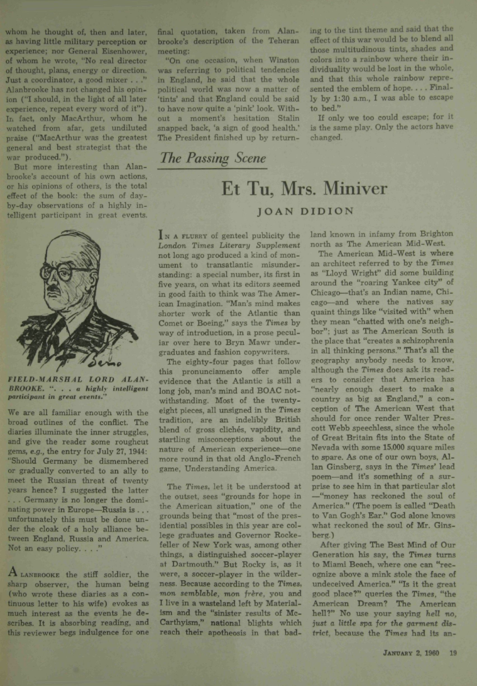whom he thought of, then and later, as having little military perception or experience; nor General Eisenhower, of whom he wrote, "No real director of thought, plans, energy or direction. Just a coordinator, a good mixer . . ." Alanbrooke has not changed his opinion ("I should, in the light of all later experience, repeat every word of it"). In fact, only MacArthur, whom he watched from afar, gets undiluted praise ("MacArthur was the greatest general and best strategist that the war produced.").

But more interesting than Alanbrooke's account of his own actions, or his opinions of others, is the total effect of the book: the sum of dayby-day observations of a highly intelligent participant in great events.



*FIELD-MARSHAt LORD ALAN-BROOKE. '. . . a highty intelligent participant in great events."*

We are all familiar enough with the broad outlines of the conflict. The diaries illuminate the inner struggles, and give the reader some roughcut gems, *e.g.,* the entry for July 27, 1944: "Should Germany be dismembered or gradually converted to an ally to meet the Russian threat of twenty years hence? I suggested the latter . . . Germany is no longer the dominating power in Europe—Russia is .. . unfortunately this must be done under the cloak of a holy alliance between England, Russia and America. Not an easy policy. . . . "

**A** LANBROOKE the stiff soldier, the sharp observer, the human being (who wrote these diaries as a continuous letter to his wife) evokes as much interest as the events he describes. It is absorbing reading, and this reviewer begs indulgence for one final quotation, taken from Alanbrooke's description of the Teheran meeting;

"On one occasion, when Winston was referring to political tendencies in England, he said that the whole political world was now a matter of 'tints' and that England could be said to have now quite a 'pink' look. Without a moment's hesitation Stalin snapped back, 'a sign of good health.' The President finished up by returning to the tint theme and said that the effect of this war would be to blend all those multitudinous tints, shades and colors into a rainbow where their individuality would be lost in the whole, and that this whole rainbow represented the emblem of hope. . . . Finally by 1:30 a.m., I was able to escape to bed."

If only we too could escape; for it is the same play. Only the actors have changed.

## *The Passing Scene*

## Et Tu, Mrs. Miniver JOAN DIDION

IN A FLURRY of genteel publicity the *London Times Literary Supplement* not long ago produced a kind of monument to transatlantic misunderstanding: a special number, its first in five years, on what its editors seemed in good faith to think was The American Imagination. "Man's mind makes shorter work of the Atlantic than Comet or Boeing," says the *Times* by way of introduction, in a prose peculiar over here to Bryn Mawr undergraduates and fashion copywriters.

The eighty-four pages that follow this pronunciamento offer ample evidence that the Atlantic is still a long job, man's mind and BOAC notwithstanding. Most of the twentyeight pieces, all unsigned in the *Times* tradition, are an indelibly British blend of gross clichés, vapidity, and startling misconceptions about the nature of American experience—one more round in that old Anglo-French game. Understanding America.

The *Times,* let it be understood at the outset, *sees* "grounds for hope in the American situation," one of the grounds being that "most of the presidential possibles in this year are college graduates and Governor Rockefeller of New York was, among other things, a distinguished soccer-player at Dartmouth." But Rocky is, as It were, a soccer-player in the wilderness. Because according to the Times, *mon semblable, mon frère, you and* I live in a wasteland left by Materialism and the "sinister results of Mc-Carthyism," national blights which reach their apotheosis in that badland known in infamy from Brighton north as The American Mid-West.

The American Mid-West *is* where an architect referred to by the Times as "Lloyd Wright" did some building around the "roaring Yankee city" of Chicago—that's an Indian name, Chicago—and where the natives say quaint things like "visited with" when they mean "chatted with one's neighbor": just as The American South is the place that "creates a schizophrenia in all thinking persons." That's all the geography anybody needs to know, although the Times does ask its readers to consider that America has "nearly enough desert to make a country as big as England." a conception of The American West that should for once render Walter Prescott Webb speechless, since the whole of Great Britain fits into the State of Nevada with some 15,000 square miles to spare. As one of our own boys, Allan Ginsberg, says in the Times' lead poem—and it's something of a surprise to see him in that particular slot —"money has reckoned the soul of America." (The poem is called "Death to Van Gogh's Ear." God alone knows to Van Gogh's Ear." God alone knows  $\frac{1}{2}$ 

After giving The Best Mind of Our Generation his say, the Times turns to Miami Beach, where one can "recognize above a mink stole the face of undeceived America." "Is it the great good place?" queries the Times, "the American Dream? The American hell?" No use your saying *hell no, just a little spa for the* garment district, because the Times had its an-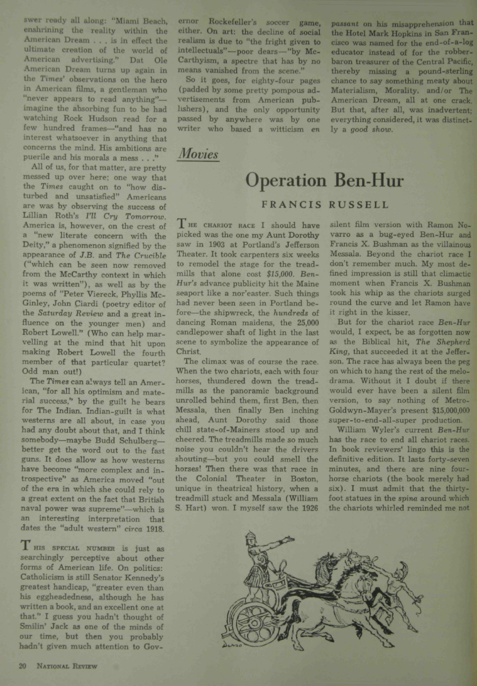**swer** ready all along: "Miami Beach, enshrining the reality within the American Dream .. . is in effect the ultimate creation of the world of American advertising." Dat Ole American Dream turns up again in the *Times'* observations on the hero in American films, a gentleman who "never appears to read anything" imagine the absorbing fun to be had watching Rock Hudson read for a few hundred frames—"and has no interest whatsoever in anything that concerns the mind. His ambitions are puerile and his morals a mess . . ."

All of us, for that matter, are pretty messed up over here; one way that the Times caught on to "how disturbed and unsatisfied" Americans are was by observing the success of Lillian Roth's *I'll Cry Tomorrow.* America is, however, on the crest of a "new literate concern with the Deity," a phenomenon signified by the appearance of *J.B.* and *The Crucible* ("which can be seen now removed from the McCarthy context in which i: was written"), as well as by the poems of "Peter Viereck, Phyllis Mc-Ginley, John Ciardi (poetry editor of the *Saturday Review* and a great influence on the younger men) and Robert Lowell." (Who can help marvelling at the mind that hit upon making Robert Lowell the fourth member of that particular quartet? Odd man out!)

The *Times* can always tell an American, "for all his optimism and material success," by the guilt he bears for The Indian. Indian-guilt is what westerns are all about, in case you had any doubt about that, and I think somebody—maybe Budd Schulberg better get the word out to the fast guns. It does allow as how westerns have become "more complex and introspective" as America moved "out of the era in which she could rely to a great extent on the fact that British naval power was supreme"—which is an interesting interpretation that dates the "adult western" *drca* 1918.

I HIS SPECIAL NUMBER is just as searchingly perceptive about other forms of American life. On politics: Catholicism is still Senator Kennedy's greatest handicap, "greater even than his eggheadedness, although he has written a book, and an excellent one at that." I guess you hadn't thought of Smilin' Jack as one of the minds of our time, **but then** you probably **hadn't** given much attention to Governor Rockefeller's soccer game, either. On art: the decline of social realism is due to "the fright given to intellectuals"—poor dears — "by Mc-Carthyism, a spectre that has by no means vanished from the scene."

So it goes, for eighty-four pages (padded by some pretty pompous advertisements from American publishers), and the only opportunity passed by anywhere was by one writer who based a witticism *en*

*Movies*

## Operation Ben-Hur

ly a *good show.*

## FRANCIS RUSSELL

THE CHARIOT RACE I should have picked was the one my Aunt Dorothy saw in 1903 at Portland's Jefferson Theater. It took carpenters six weeks to remodel the stage for the treadmills that alone cost *\$15,000. Ben-Hur's* advance publicity hit the Maine seaport like a nor'easter. Such things had never been seen in Portland before—the shipwreck, the *hundreds* of dancing Roman maidens, the 25,000 candlepower shaft of light in the last scene to symbolize the appearance of Christ.

The climax was of course the race. When the two chariots, each with four horses, thundered down the treadmills as the panoramic background unrolled behind them, first Ben, then Messala, then finally Ben inching ahead. Aunt Dorothy said those chill state-of-Mainers stood up and cheered. The treadmills made so much noise you couldn't hear the drivers shouting—but you could smell the horses! Then there was that race in the Colonial Theater in Boston, unique in theatrical history, when a treadmill stuck and Messala (William S. Hart) won. I myself saw the 1926

silent film version with Ramon Novarro as a bug-eyed Ben-Hur and Francis X. Bushman as the villainous Messala. Beyond the chariot race I don't remember much. My most defined impression is still that climactic moment when Francis X. Bushman took his whip as the chariots surged round the curve and let Ramon have it right in the kisser.

*passant* on his misapprehension that the Hotel Mark Hopkins in San Francisco was named for the end-of-a-log educator instead of for the robberbaron treasurer of the Central Pacific, thereby missing a pound-sterling chance to say something meaty about Materialism, Morality, and/or The American Dream, all at one crack. But that, after all, was inadvertent; everything considered, it was distinct-

But for the chariot race *Ben-Hur* would, I expect, be as forgotten now as the Biblical hit. *The Shepherd* King, that succeeded it at the Jefferson. The race has always been the peg on which to hang the rest of the melodrama. Without it I doubt if there would ever have been a silent film version, to say nothing of Metro-Goldwyn-Mayer's present \$15,000,000 super-to-end-all-super production.

William Wyler's current *Ben-Hur* has the race to end all chariot races. In book reviewers' lingo this is the definitive edition. It lasts forty-seven minutes, and there are nine fourhorse chariots (the book merely had six). I must admit that the thirtyfoot statues in the *spina* around which the chariots whirled reminded me not